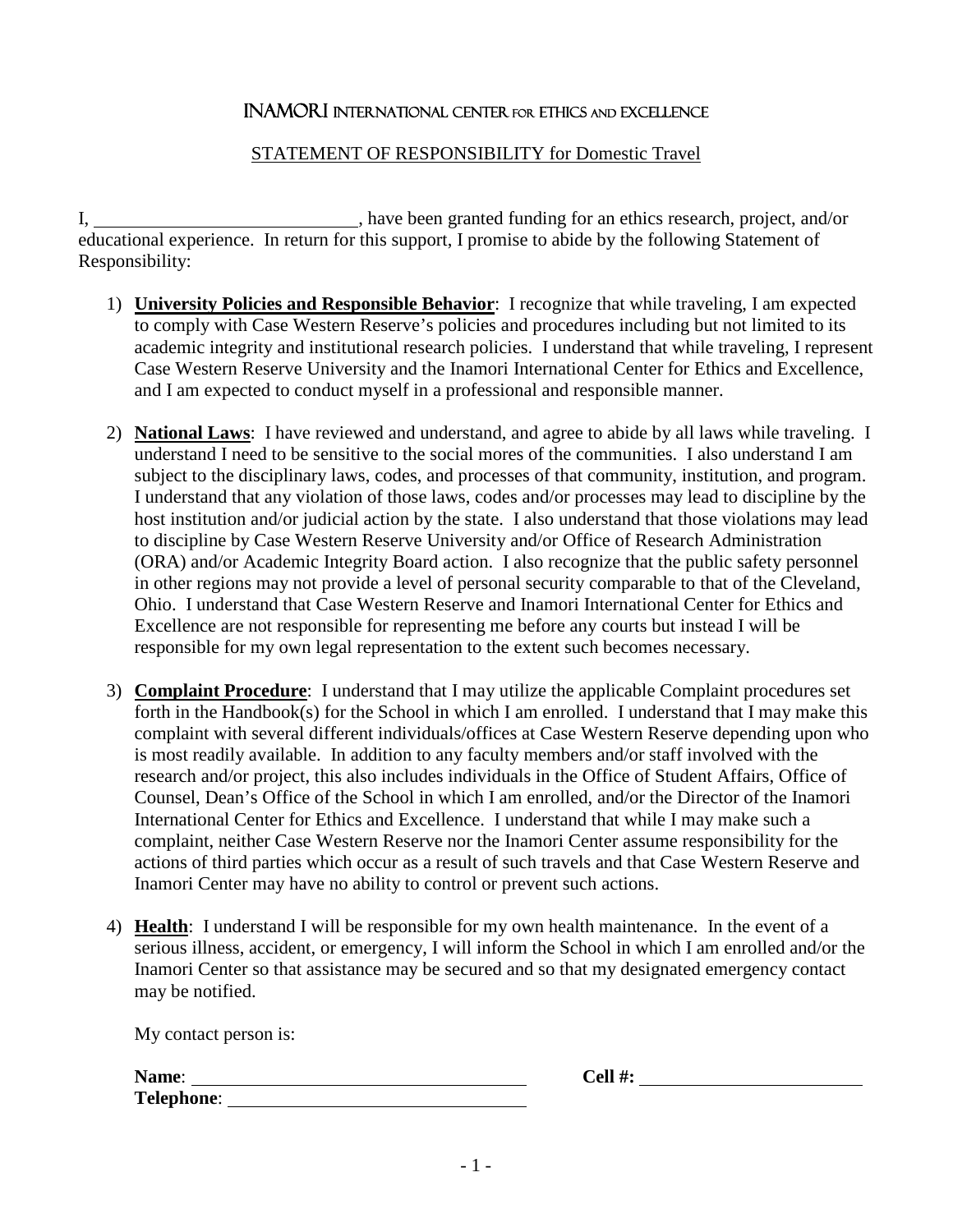## Inamori International Center for Ethics and Excellence

## STATEMENT OF RESPONSIBILITY for Domestic Travel

I, have been granted funding for an ethics research, project, and/or educational experience. In return for this support, I promise to abide by the following Statement of Responsibility:

- 1) **University Policies and Responsible Behavior**: I recognize that while traveling, I am expected to comply with Case Western Reserve's policies and procedures including but not limited to its academic integrity and institutional research policies. I understand that while traveling, I represent Case Western Reserve University and the Inamori International Center for Ethics and Excellence, and I am expected to conduct myself in a professional and responsible manner.
- 2) **National Laws**: I have reviewed and understand, and agree to abide by all laws while traveling. I understand I need to be sensitive to the social mores of the communities. I also understand I am subject to the disciplinary laws, codes, and processes of that community, institution, and program. I understand that any violation of those laws, codes and/or processes may lead to discipline by the host institution and/or judicial action by the state. I also understand that those violations may lead to discipline by Case Western Reserve University and/or Office of Research Administration (ORA) and/or Academic Integrity Board action. I also recognize that the public safety personnel in other regions may not provide a level of personal security comparable to that of the Cleveland, Ohio. I understand that Case Western Reserve and Inamori International Center for Ethics and Excellence are not responsible for representing me before any courts but instead I will be responsible for my own legal representation to the extent such becomes necessary.
- 3) **Complaint Procedure**: I understand that I may utilize the applicable Complaint procedures set forth in the Handbook(s) for the School in which I am enrolled. I understand that I may make this complaint with several different individuals/offices at Case Western Reserve depending upon who is most readily available. In addition to any faculty members and/or staff involved with the research and/or project, this also includes individuals in the Office of Student Affairs, Office of Counsel, Dean's Office of the School in which I am enrolled, and/or the Director of the Inamori International Center for Ethics and Excellence. I understand that while I may make such a complaint, neither Case Western Reserve nor the Inamori Center assume responsibility for the actions of third parties which occur as a result of such travels and that Case Western Reserve and Inamori Center may have no ability to control or prevent such actions.
- 4) **Health**: I understand I will be responsible for my own health maintenance. In the event of a serious illness, accident, or emergency, I will inform the School in which I am enrolled and/or the Inamori Center so that assistance may be secured and so that my designated emergency contact may be notified.

My contact person is:

**Name: Cell #: Cell #: Cell #: Cell #: Cell #: Cell #: Cell #: Cell #: Cell #: Cell #: Cell #: Cell #: Cell #: Cell #: Cell #: Cell #: Cell #: Cell #: Cell #: Cell #: Cell #: Cel Telephone**: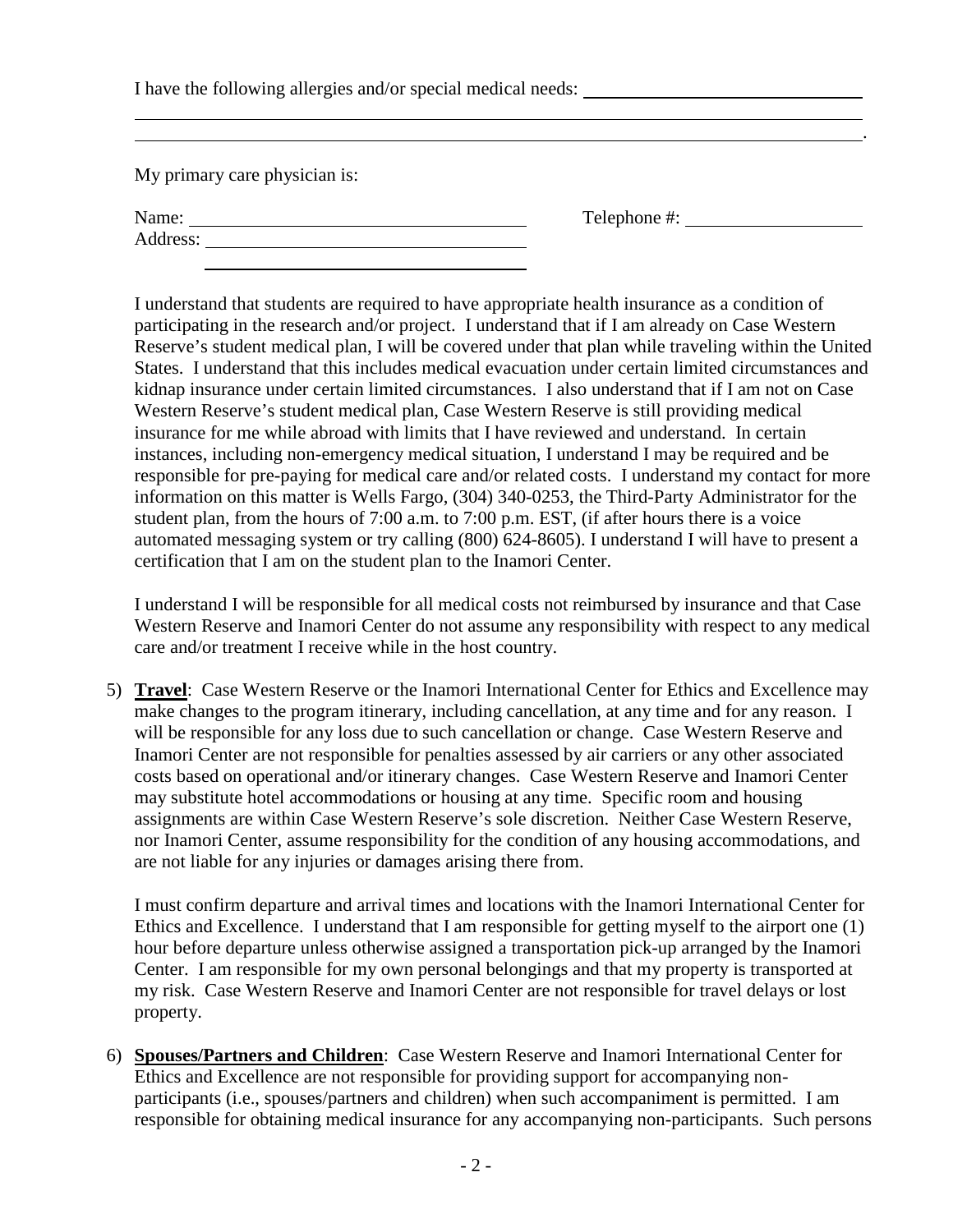I have the following allergies and/or special medical needs:

My primary care physician is:

| Name:    |  |
|----------|--|
| Address: |  |
|          |  |

I understand that students are required to have appropriate health insurance as a condition of participating in the research and/or project. I understand that if I am already on Case Western Reserve's student medical plan, I will be covered under that plan while traveling within the United States. I understand that this includes medical evacuation under certain limited circumstances and kidnap insurance under certain limited circumstances. I also understand that if I am not on Case Western Reserve's student medical plan, Case Western Reserve is still providing medical insurance for me while abroad with limits that I have reviewed and understand. In certain instances, including non-emergency medical situation, I understand I may be required and be responsible for pre-paying for medical care and/or related costs. I understand my contact for more information on this matter is Wells Fargo, (304) 340-0253, the Third-Party Administrator for the student plan, from the hours of 7:00 a.m. to 7:00 p.m. EST, (if after hours there is a voice automated messaging system or try calling (800) 624-8605). I understand I will have to present a certification that I am on the student plan to the Inamori Center.

.

Telephone #:  $\qquad \qquad$ 

I understand I will be responsible for all medical costs not reimbursed by insurance and that Case Western Reserve and Inamori Center do not assume any responsibility with respect to any medical care and/or treatment I receive while in the host country.

5) **Travel**: Case Western Reserve or the Inamori International Center for Ethics and Excellence may make changes to the program itinerary, including cancellation, at any time and for any reason. I will be responsible for any loss due to such cancellation or change. Case Western Reserve and Inamori Center are not responsible for penalties assessed by air carriers or any other associated costs based on operational and/or itinerary changes. Case Western Reserve and Inamori Center may substitute hotel accommodations or housing at any time. Specific room and housing assignments are within Case Western Reserve's sole discretion. Neither Case Western Reserve, nor Inamori Center, assume responsibility for the condition of any housing accommodations, and are not liable for any injuries or damages arising there from.

I must confirm departure and arrival times and locations with the Inamori International Center for Ethics and Excellence. I understand that I am responsible for getting myself to the airport one (1) hour before departure unless otherwise assigned a transportation pick-up arranged by the Inamori Center. I am responsible for my own personal belongings and that my property is transported at my risk. Case Western Reserve and Inamori Center are not responsible for travel delays or lost property.

6) **Spouses/Partners and Children**: Case Western Reserve and Inamori International Center for Ethics and Excellence are not responsible for providing support for accompanying nonparticipants (i.e., spouses/partners and children) when such accompaniment is permitted. I am responsible for obtaining medical insurance for any accompanying non-participants. Such persons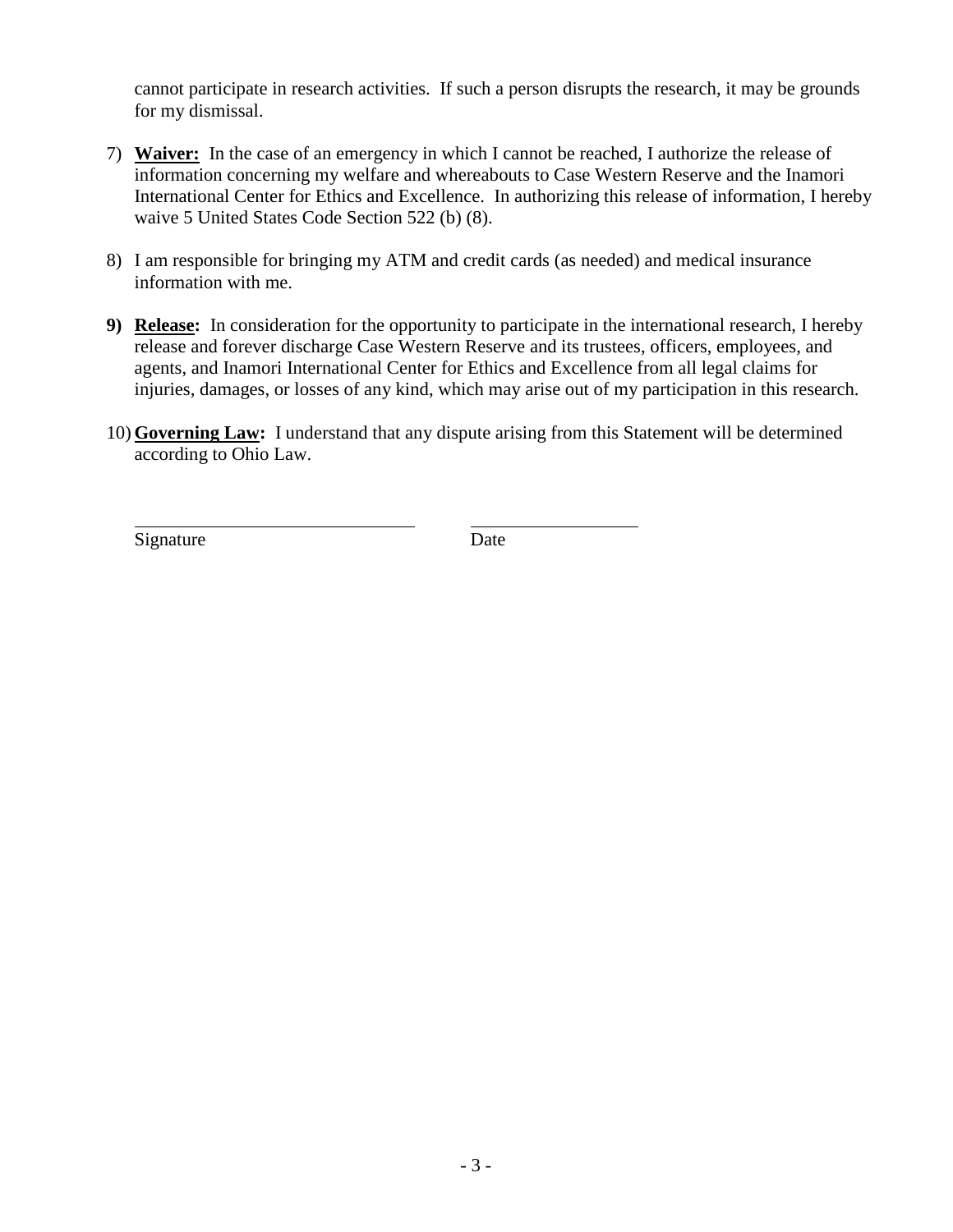cannot participate in research activities. If such a person disrupts the research, it may be grounds for my dismissal.

- 7) **Waiver:** In the case of an emergency in which I cannot be reached, I authorize the release of information concerning my welfare and whereabouts to Case Western Reserve and the Inamori International Center for Ethics and Excellence. In authorizing this release of information, I hereby waive 5 United States Code Section 522 (b) (8).
- 8) I am responsible for bringing my ATM and credit cards (as needed) and medical insurance information with me.
- **9) Release:** In consideration for the opportunity to participate in the international research, I hereby release and forever discharge Case Western Reserve and its trustees, officers, employees, and agents, and Inamori International Center for Ethics and Excellence from all legal claims for injuries, damages, or losses of any kind, which may arise out of my participation in this research.
- 10) **Governing Law:** I understand that any dispute arising from this Statement will be determined according to Ohio Law.

Signature Date